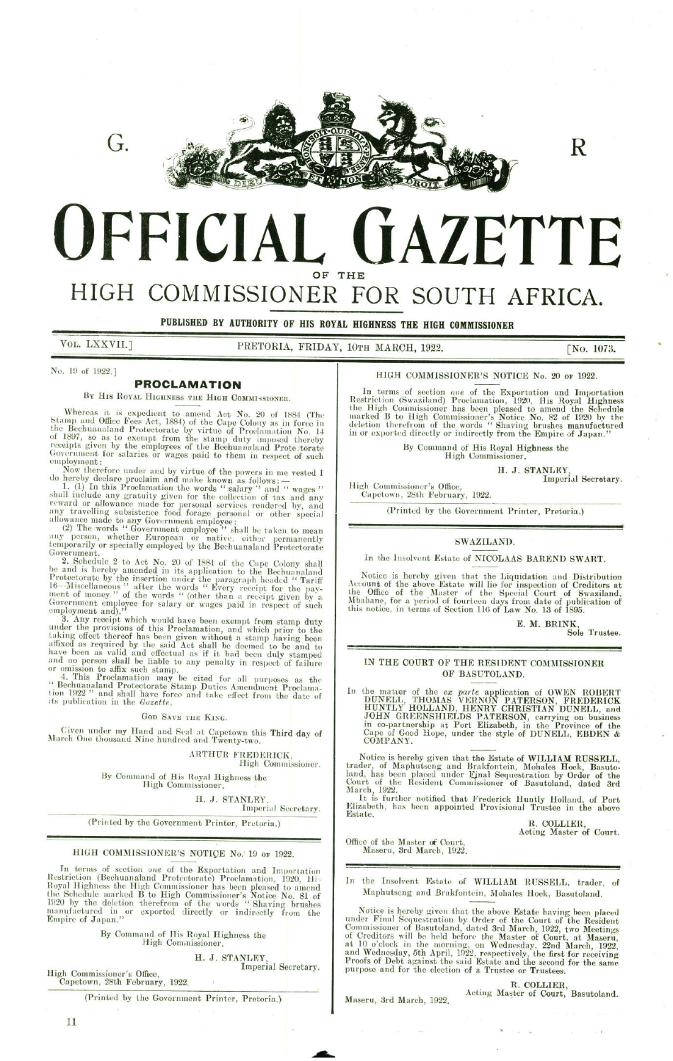

**UFFICIAL** OF THE **GAZETTE NL GAZETTHE** FOR SOUTH<br>
HIGHNESS THE HIGH COMMISS<br>
IOTH MARCH, 1922.<br>
HIGH COMMISSIONER'S<br>
In terms of section one of the<br>
Restriction (Swaziland) Proclamin<br>
the High Commissioner has been<br>
marked B to High Commissioner<br>
in or exported

# HIGH COMMISSIONER

PUBLISHED BY AUTHORITY OF HIS ROYAL HIGHNESS THE HIGH COMMISSIONER

VOL. LXXVII.]

PRETORIA, FRIDAY, 10TH MARCH, 1922. [No. 1073.

R

No. 19 of 1922.]

### PROCLAMATION

BY HIS ROYAL HIGHNESS THE HIGH COMMISSIONER.

Whereas it is expedient to amend Act No. 20 of 1884 (The Stamp and Office Fees Act, 1884) of the Cape Colony as in force in the Bechuanaland Protectorate by virtue of Proclamation No. 14 of 1897, so as to exempt from the s

Government for salaries or wages paid to them in respect of such<br>employment:<br>Now therefore under and by virtue of the powers in me vested I<br>do hereby declare proclaim and make known as follows:—<br>1. (1) In this Proclamatio

3. Any receipt which would have been exempt from stamp duty<br>under the provisions of this Proclamation, and which prior to the<br>taking effect thereof has been given without a stamp having been<br>affixed as required by the sai 2. Schedule 2 to Act No. 20 c and is hereby anended in its check and is predictionate in the Protectorate by the insertion und 16—Miscellaneous " after the would have the work of covernment employer of this Procedurity of

### GOD SAVE THE KING.

Given under my Hand and Seal at Capetown this Third day of March One thousand Nine hundred and Twenty-two.

ARTHUR FREDERICK, High Commissioner.

By Command of His Royal Highness the High Commissioner, :

H. J. STANLEY

Imperial Secretary.

(Printed by the Government Printer, Pretoria.)

#### HIGH COMMISSIONER'S NOTICE No. 19 or 1922.

SAVE THE KING.<br>
EMBERICATOR (MATHUR FREDERICK, High Commissioner.<br>
ARTHUR FREDERICK, High Commissioner.<br>
F. His Royal Highness the<br>
Commissioner.<br>
F. J. STANLEY, Imperial Sceretary.<br>
Wernment Printer, Pretoria.)<br>
ER'S NOTI In terms of section *one* of the Exportation and Importation<br>Restriction (Bechuanaland Protectorate) Proclamation, 1920, Hi-<br>Royal Highness the High Commissioner has been pleased to amend<br>the Schedule marked B to High Comm Civen under my Hand and Sc<br>
March One thousand Nine hundre<br>
By Command of His<br>
High Com<br>
(Printed by the Govern<br>
(Printed by the Govern<br>
(Printed by the Govern<br>
HIGH COMMISSIONER's<br>
In terms of section one of the<br>
Restrict

By Command of His Royal Highness the High Commissioner,

H. J. STANLEY, Imperial Secretary. Imperial Secretary. High Commissioner's Office,

Capetown, 28th February, 1922.

(Printed by the Government Printer, Pretoria.)

In terms of section one of the Exportation and Importation Restriction (Swaziland) Proclamation, 1920, His Royal Highness the High Commissioner has been pleased to amend the Schedule marked B to High Commissioner's Notice No. 82 of 1920 by the deletion therefrom of the words "Shaving brushes manufactured in or exported directly or indirectly from the Empire of Japan." HE<br>
FOR SOUTI<br>
HIGHNESS THE HIGH COMMISS<br>
10TH MARCH, 1922.<br>
HIGH COMMISSIONER'S<br>
In terms of section one of the<br>
Restriction (Swaziland) Proclam:<br>
the High Commissioner has been<br>
marked B to High Commissioner has been<br>
in In terms of section one of the High Commission and the High Commissioner has been<br>marked B to High Commissione<br>deletion therefrom of the words<br>deletion therefrom of the words<br>in or exported directly or indirect<br>By Command

HIGH COMMISSIONER'S NOTICE No. 20 or 1922.

By Command of His Royal Highness the High Commissioner,

H. J. STANLEY, Imperial Secretary.

Imperial Secretary. High Commissioner's Office, Capetown, 28th February, 1922.

(Printed by the Government Printer, Pretoria.)

## SWAZILAND.

In the Insolvent Estate of NICOLAAS BAREND SWART.

Notice is hereby given that the Liquidation and Distribution Account of the above Estate will lie for inspection of Creditors at the Office of the Master of the Special Court of Swaziland, Mbabane, for a period of fourteen days from date of publication of this notice, in terms of Section 116 of Law No. 13 of 1895.

> E. M. BRINK Sole Trustee.

#### IN THE COURT OF THE RESIDENT COMMISSIONER OF BASUTOLAND.

In the matter of the ex parte application of OWEN ROBERT DUNELL, THOMAS VERNON PATERSON, FREDERICK HUNTLY HOLLAND, HENRY CHRISTIAN DUNELL, and JOHN GREENSHIELDS PATERSON, carrying on business in co-partnership at Port Elizabeth, in the Province of the Cape of Good Hope, under the style of DUNELL, EBDEN & COMPANY. Mbabane, for a period of fourteel<br>this notice, in terms of Section 11<br>this notice, in terms of Section 11<br>TN THE COURT OF THE R<br>OF BASU<br>In the matter of the *ex parte*<br>DUNELL, THOMAS VERN<br>HUNTLY HOLLAND, HEN<br>JOHN GREENSHIE

Notice is hereby given that the Estate of WILLIAM RUSSELL,<br>trader, of Maphutseng and Brakfontein, Mohales Hoek, Basuto-<br>land, has been placed under Ejnal Sequestration by Order of the<br>Court of the Resident Commissioner of

It is further notified that Frederick Huntly Holland, of Port Elizabeth, has been appointed Provisional Trustee in the above Estate.

R. COLLIER, Acting Master of Court.

Office of the Master of Court, Maseru, 3rd March, 1922,

In the Insolvent Estate of WILLIAM RUSSELL, trader, of the Insolvent Estate of WILLIAM RUSSELL, trader<br>Maphutseng and Brakfontein, Mohales Hoek, Basutoland.

Notice is hereby given that the above Estate having been placed<br>under Final Scquestration by Order of the Court of the Resident<br>Commissioner of Basutoland, dated 3rd March, 1922, two Meetings<br>of Creditors will be held befo

the contract of the contract of the contract of the

; R. COLLIER, Acting Master of Court, Basutoland. Maseru, 8rd March, 1922,

wan as